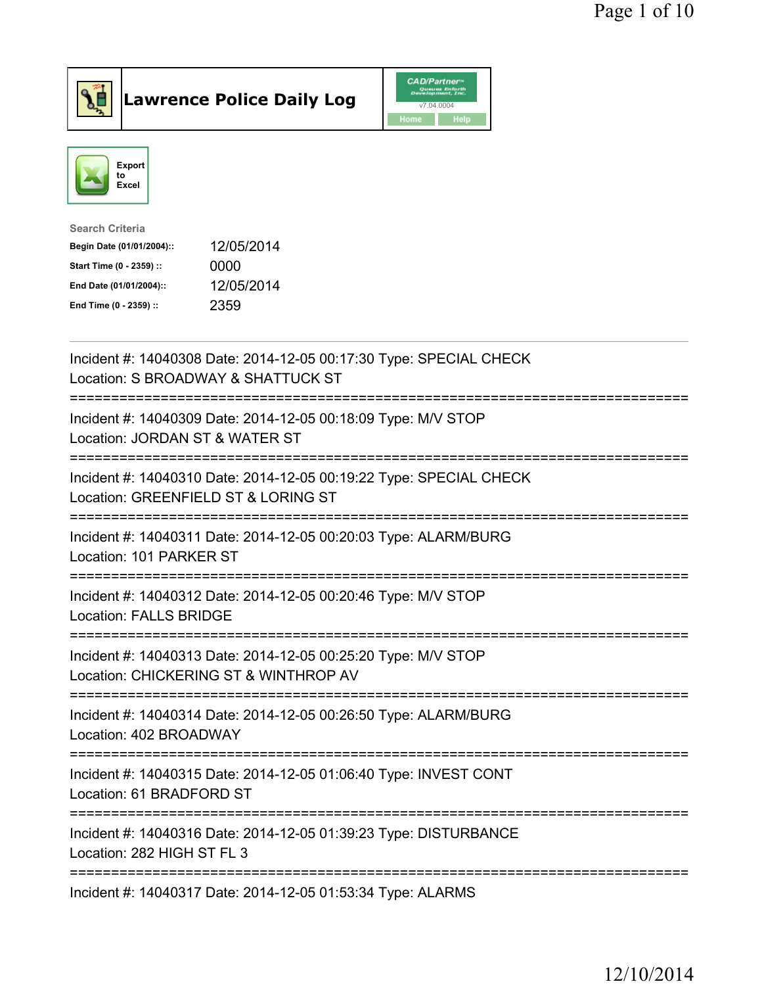



| <b>Search Criteria</b>    |            |
|---------------------------|------------|
| Begin Date (01/01/2004):: | 12/05/2014 |
| Start Time (0 - 2359) ::  | 0000       |
| End Date (01/01/2004)::   | 12/05/2014 |
| End Time (0 - 2359) ::    | 2359       |

| Incident #: 14040308 Date: 2014-12-05 00:17:30 Type: SPECIAL CHECK<br>Location: S BROADWAY & SHATTUCK ST       |
|----------------------------------------------------------------------------------------------------------------|
| Incident #: 14040309 Date: 2014-12-05 00:18:09 Type: M/V STOP<br>Location: JORDAN ST & WATER ST                |
| Incident #: 14040310 Date: 2014-12-05 00:19:22 Type: SPECIAL CHECK<br>Location: GREENFIELD ST & LORING ST      |
| Incident #: 14040311 Date: 2014-12-05 00:20:03 Type: ALARM/BURG<br>Location: 101 PARKER ST                     |
| Incident #: 14040312 Date: 2014-12-05 00:20:46 Type: M/V STOP<br>Location: FALLS BRIDGE                        |
| Incident #: 14040313 Date: 2014-12-05 00:25:20 Type: M/V STOP<br>Location: CHICKERING ST & WINTHROP AV         |
| Incident #: 14040314 Date: 2014-12-05 00:26:50 Type: ALARM/BURG<br>Location: 402 BROADWAY<br>-----------       |
| Incident #: 14040315 Date: 2014-12-05 01:06:40 Type: INVEST CONT<br>Location: 61 BRADFORD ST<br>-------------- |
| Incident #: 14040316 Date: 2014-12-05 01:39:23 Type: DISTURBANCE<br>Location: 282 HIGH ST FL 3                 |
| Incident #: 14040317 Date: 2014-12-05 01:53:34 Type: ALARMS                                                    |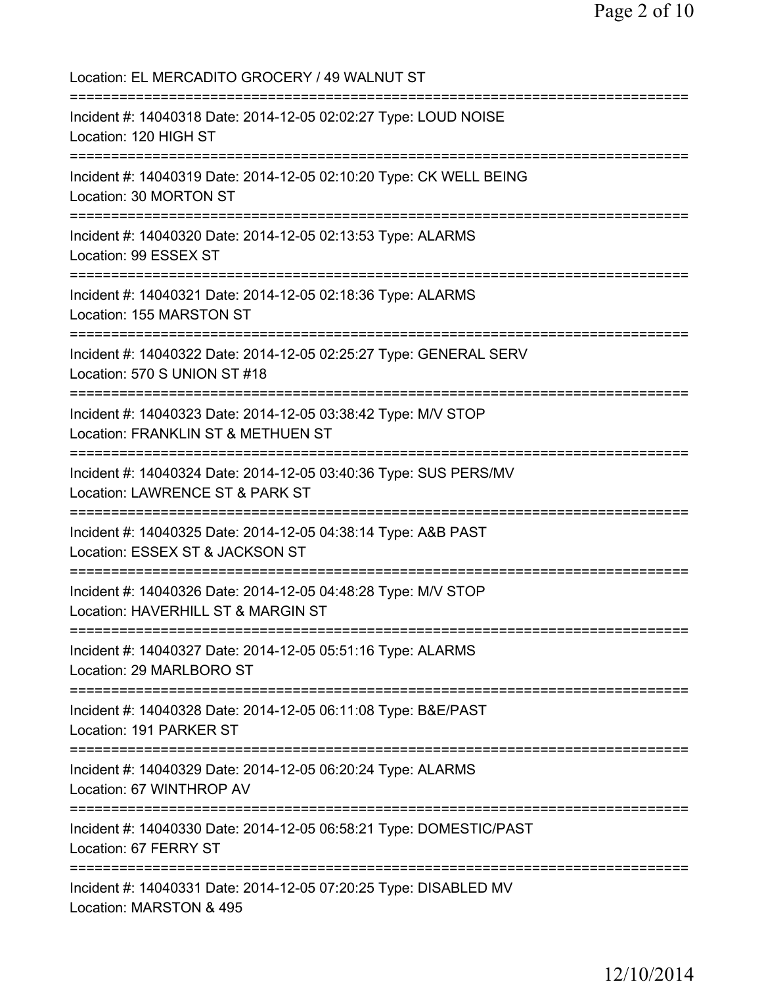Location: EL MERCADITO GROCERY / 49 WALNUT ST =========================================================================== Incident #: 14040318 Date: 2014-12-05 02:02:27 Type: LOUD NOISE Location: 120 HIGH ST =========================================================================== Incident #: 14040319 Date: 2014-12-05 02:10:20 Type: CK WELL BEING Location: 30 MORTON ST =========================================================================== Incident #: 14040320 Date: 2014-12-05 02:13:53 Type: ALARMS Location: 99 ESSEX ST =========================================================================== Incident #: 14040321 Date: 2014-12-05 02:18:36 Type: ALARMS Location: 155 MARSTON ST =========================================================================== Incident #: 14040322 Date: 2014-12-05 02:25:27 Type: GENERAL SERV Location: 570 S UNION ST #18 =========================================================================== Incident #: 14040323 Date: 2014-12-05 03:38:42 Type: M/V STOP Location: FRANKLIN ST & METHUEN ST =========================================================================== Incident #: 14040324 Date: 2014-12-05 03:40:36 Type: SUS PERS/MV Location: LAWRENCE ST & PARK ST =========================================================================== Incident #: 14040325 Date: 2014-12-05 04:38:14 Type: A&B PAST Location: ESSEX ST & JACKSON ST =========================================================================== Incident #: 14040326 Date: 2014-12-05 04:48:28 Type: M/V STOP Location: HAVERHILL ST & MARGIN ST =========================================================================== Incident #: 14040327 Date: 2014-12-05 05:51:16 Type: ALARMS Location: 29 MARLBORO ST =========================================================================== Incident #: 14040328 Date: 2014-12-05 06:11:08 Type: B&E/PAST Location: 191 PARKER ST =========================================================================== Incident #: 14040329 Date: 2014-12-05 06:20:24 Type: ALARMS Location: 67 WINTHROP AV =========================================================================== Incident #: 14040330 Date: 2014-12-05 06:58:21 Type: DOMESTIC/PAST Location: 67 FERRY ST =========================================================================== Incident #: 14040331 Date: 2014-12-05 07:20:25 Type: DISABLED MV Location: MARSTON & 495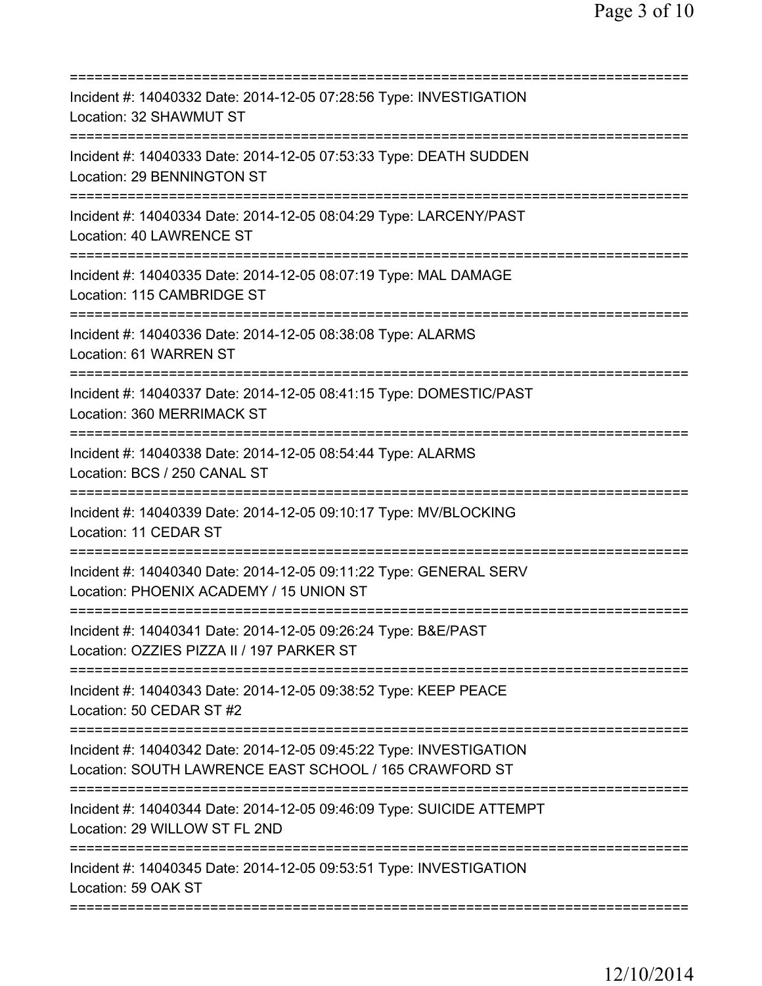| Incident #: 14040332 Date: 2014-12-05 07:28:56 Type: INVESTIGATION<br>Location: 32 SHAWMUT ST                                            |
|------------------------------------------------------------------------------------------------------------------------------------------|
| Incident #: 14040333 Date: 2014-12-05 07:53:33 Type: DEATH SUDDEN<br>Location: 29 BENNINGTON ST                                          |
| Incident #: 14040334 Date: 2014-12-05 08:04:29 Type: LARCENY/PAST<br>Location: 40 LAWRENCE ST<br>===================                     |
| Incident #: 14040335 Date: 2014-12-05 08:07:19 Type: MAL DAMAGE<br>Location: 115 CAMBRIDGE ST                                            |
| Incident #: 14040336 Date: 2014-12-05 08:38:08 Type: ALARMS<br>Location: 61 WARREN ST                                                    |
| ;===================================<br>Incident #: 14040337 Date: 2014-12-05 08:41:15 Type: DOMESTIC/PAST<br>Location: 360 MERRIMACK ST |
| Incident #: 14040338 Date: 2014-12-05 08:54:44 Type: ALARMS<br>Location: BCS / 250 CANAL ST<br>==============                            |
| Incident #: 14040339 Date: 2014-12-05 09:10:17 Type: MV/BLOCKING<br>Location: 11 CEDAR ST                                                |
| Incident #: 14040340 Date: 2014-12-05 09:11:22 Type: GENERAL SERV<br>Location: PHOENIX ACADEMY / 15 UNION ST                             |
| Incident #: 14040341 Date: 2014-12-05 09:26:24 Type: B&E/PAST<br>Location: OZZIES PIZZA II / 197 PARKER ST                               |
| Incident #: 14040343 Date: 2014-12-05 09:38:52 Type: KEEP PEACE<br>Location: 50 CEDAR ST #2                                              |
| Incident #: 14040342 Date: 2014-12-05 09:45:22 Type: INVESTIGATION<br>Location: SOUTH LAWRENCE EAST SCHOOL / 165 CRAWFORD ST             |
| Incident #: 14040344 Date: 2014-12-05 09:46:09 Type: SUICIDE ATTEMPT<br>Location: 29 WILLOW ST FL 2ND                                    |
| Incident #: 14040345 Date: 2014-12-05 09:53:51 Type: INVESTIGATION<br>Location: 59 OAK ST                                                |
|                                                                                                                                          |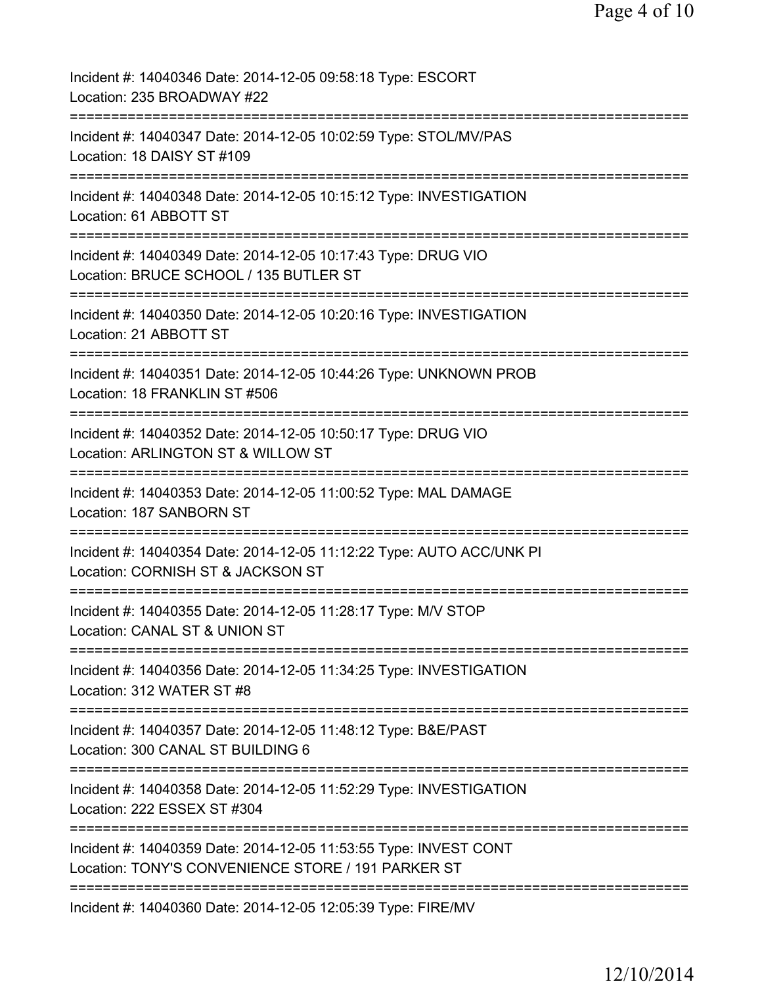| Incident #: 14040346 Date: 2014-12-05 09:58:18 Type: ESCORT<br>Location: 235 BROADWAY #22                                         |
|-----------------------------------------------------------------------------------------------------------------------------------|
| Incident #: 14040347 Date: 2014-12-05 10:02:59 Type: STOL/MV/PAS<br>Location: 18 DAISY ST #109                                    |
| Incident #: 14040348 Date: 2014-12-05 10:15:12 Type: INVESTIGATION<br>Location: 61 ABBOTT ST                                      |
| Incident #: 14040349 Date: 2014-12-05 10:17:43 Type: DRUG VIO<br>Location: BRUCE SCHOOL / 135 BUTLER ST                           |
| Incident #: 14040350 Date: 2014-12-05 10:20:16 Type: INVESTIGATION<br>Location: 21 ABBOTT ST                                      |
| Incident #: 14040351 Date: 2014-12-05 10:44:26 Type: UNKNOWN PROB<br>Location: 18 FRANKLIN ST #506                                |
| Incident #: 14040352 Date: 2014-12-05 10:50:17 Type: DRUG VIO<br>Location: ARLINGTON ST & WILLOW ST                               |
| Incident #: 14040353 Date: 2014-12-05 11:00:52 Type: MAL DAMAGE<br>Location: 187 SANBORN ST                                       |
| Incident #: 14040354 Date: 2014-12-05 11:12:22 Type: AUTO ACC/UNK PI<br>Location: CORNISH ST & JACKSON ST                         |
| Incident #: 14040355 Date: 2014-12-05 11:28:17 Type: M/V STOP<br>Location: CANAL ST & UNION ST                                    |
| Incident #: 14040356 Date: 2014-12-05 11:34:25 Type: INVESTIGATION<br>Location: 312 WATER ST #8                                   |
| Incident #: 14040357 Date: 2014-12-05 11:48:12 Type: B&E/PAST<br>Location: 300 CANAL ST BUILDING 6<br>=========================== |
| Incident #: 14040358 Date: 2014-12-05 11:52:29 Type: INVESTIGATION<br>Location: 222 ESSEX ST #304<br>=========================    |
| Incident #: 14040359 Date: 2014-12-05 11:53:55 Type: INVEST CONT<br>Location: TONY'S CONVENIENCE STORE / 191 PARKER ST            |
| Incident #: 14040360 Date: 2014-12-05 12:05:39 Type: FIRE/MV                                                                      |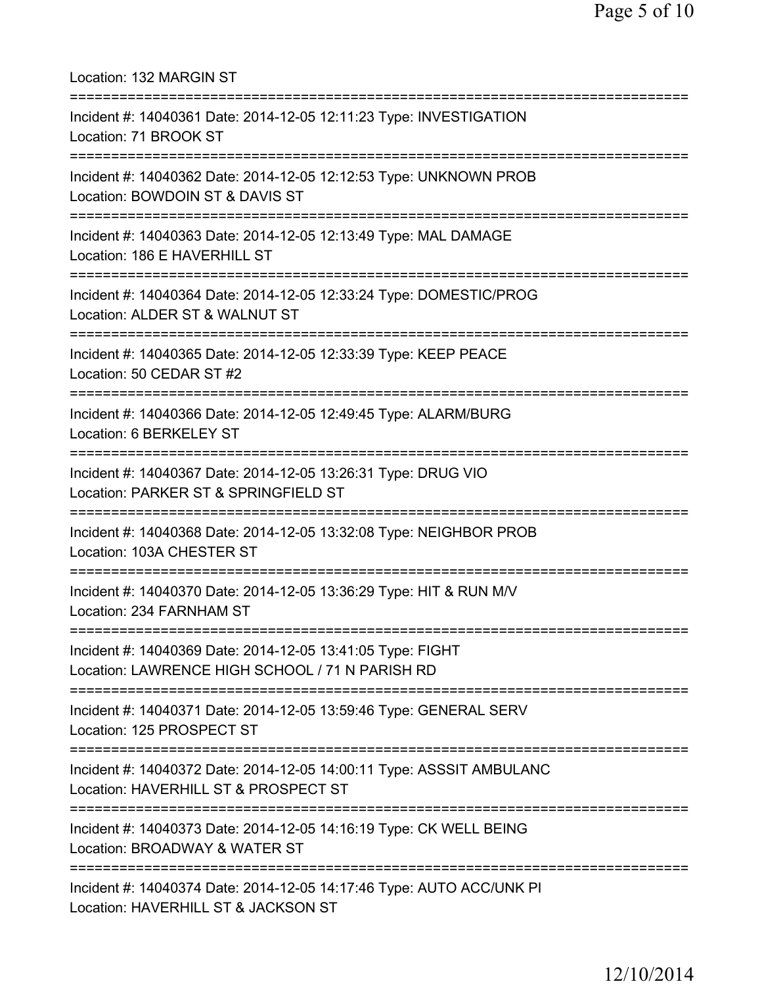| Location: 132 MARGIN ST<br>=====================================                                                                        |
|-----------------------------------------------------------------------------------------------------------------------------------------|
| Incident #: 14040361 Date: 2014-12-05 12:11:23 Type: INVESTIGATION<br>Location: 71 BROOK ST<br>=====================================    |
| Incident #: 14040362 Date: 2014-12-05 12:12:53 Type: UNKNOWN PROB<br>Location: BOWDOIN ST & DAVIS ST                                    |
| Incident #: 14040363 Date: 2014-12-05 12:13:49 Type: MAL DAMAGE<br>Location: 186 E HAVERHILL ST<br>==================================== |
| Incident #: 14040364 Date: 2014-12-05 12:33:24 Type: DOMESTIC/PROG<br>Location: ALDER ST & WALNUT ST                                    |
| =========================<br>Incident #: 14040365 Date: 2014-12-05 12:33:39 Type: KEEP PEACE<br>Location: 50 CEDAR ST #2                |
| Incident #: 14040366 Date: 2014-12-05 12:49:45 Type: ALARM/BURG<br>Location: 6 BERKELEY ST                                              |
| Incident #: 14040367 Date: 2014-12-05 13:26:31 Type: DRUG VIO<br>Location: PARKER ST & SPRINGFIELD ST                                   |
| Incident #: 14040368 Date: 2014-12-05 13:32:08 Type: NEIGHBOR PROB<br>Location: 103A CHESTER ST                                         |
| =============================<br>Incident #: 14040370 Date: 2014-12-05 13:36:29 Type: HIT & RUN M/V<br>Location: 234 FARNHAM ST         |
| Incident #: 14040369 Date: 2014-12-05 13:41:05 Type: FIGHT<br>Location: LAWRENCE HIGH SCHOOL / 71 N PARISH RD                           |
| Incident #: 14040371 Date: 2014-12-05 13:59:46 Type: GENERAL SERV<br>Location: 125 PROSPECT ST                                          |
| Incident #: 14040372 Date: 2014-12-05 14:00:11 Type: ASSSIT AMBULANC<br>Location: HAVERHILL ST & PROSPECT ST                            |
| Incident #: 14040373 Date: 2014-12-05 14:16:19 Type: CK WELL BEING<br>Location: BROADWAY & WATER ST                                     |
| Incident #: 14040374 Date: 2014-12-05 14:17:46 Type: AUTO ACC/UNK PI<br>Location: HAVERHILL ST & JACKSON ST                             |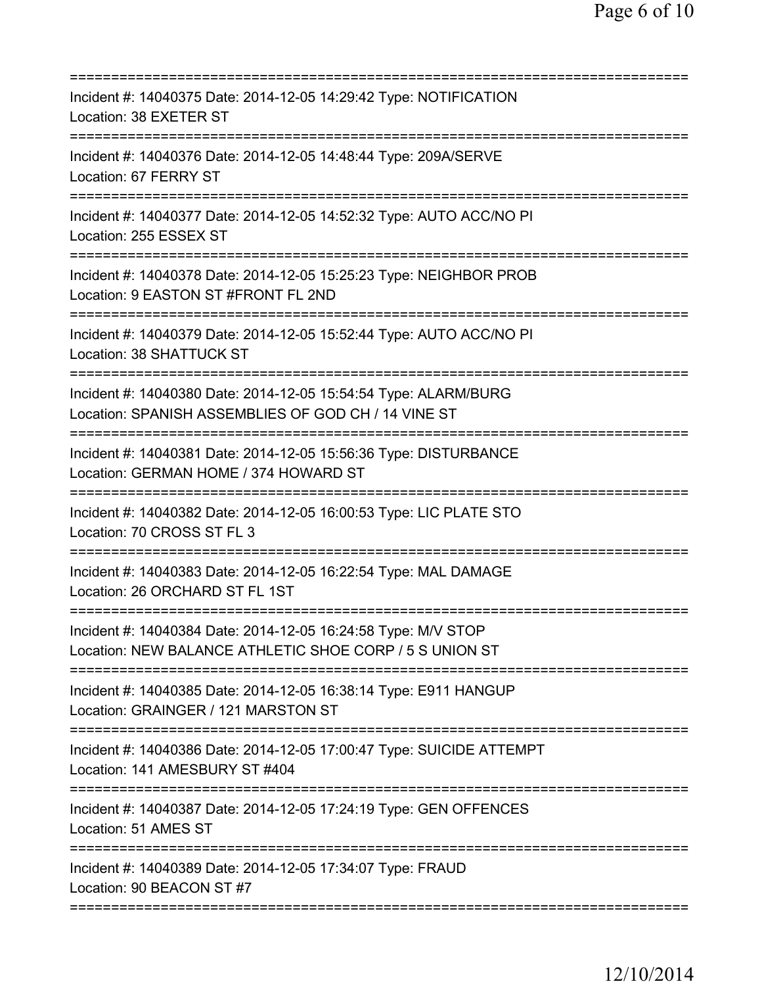| Incident #: 14040375 Date: 2014-12-05 14:29:42 Type: NOTIFICATION<br>Location: 38 EXETER ST<br>=================                                  |
|---------------------------------------------------------------------------------------------------------------------------------------------------|
| Incident #: 14040376 Date: 2014-12-05 14:48:44 Type: 209A/SERVE<br>Location: 67 FERRY ST                                                          |
| Incident #: 14040377 Date: 2014-12-05 14:52:32 Type: AUTO ACC/NO PI<br>Location: 255 ESSEX ST                                                     |
| Incident #: 14040378 Date: 2014-12-05 15:25:23 Type: NEIGHBOR PROB<br>Location: 9 EASTON ST #FRONT FL 2ND                                         |
| Incident #: 14040379 Date: 2014-12-05 15:52:44 Type: AUTO ACC/NO PI<br>Location: 38 SHATTUCK ST                                                   |
| Incident #: 14040380 Date: 2014-12-05 15:54:54 Type: ALARM/BURG<br>Location: SPANISH ASSEMBLIES OF GOD CH / 14 VINE ST<br>======================  |
| Incident #: 14040381 Date: 2014-12-05 15:56:36 Type: DISTURBANCE<br>Location: GERMAN HOME / 374 HOWARD ST<br>==================================== |
| Incident #: 14040382 Date: 2014-12-05 16:00:53 Type: LIC PLATE STO<br>Location: 70 CROSS ST FL 3<br>===============                               |
| Incident #: 14040383 Date: 2014-12-05 16:22:54 Type: MAL DAMAGE<br>Location: 26 ORCHARD ST FL 1ST                                                 |
| Incident #: 14040384 Date: 2014-12-05 16:24:58 Type: M/V STOP<br>Location: NEW BALANCE ATHLETIC SHOE CORP / 5 S UNION ST                          |
| Incident #: 14040385 Date: 2014-12-05 16:38:14 Type: E911 HANGUP<br>Location: GRAINGER / 121 MARSTON ST                                           |
| Incident #: 14040386 Date: 2014-12-05 17:00:47 Type: SUICIDE ATTEMPT<br>Location: 141 AMESBURY ST #404                                            |
| Incident #: 14040387 Date: 2014-12-05 17:24:19 Type: GEN OFFENCES<br>Location: 51 AMES ST                                                         |
| Incident #: 14040389 Date: 2014-12-05 17:34:07 Type: FRAUD<br>Location: 90 BEACON ST #7                                                           |
|                                                                                                                                                   |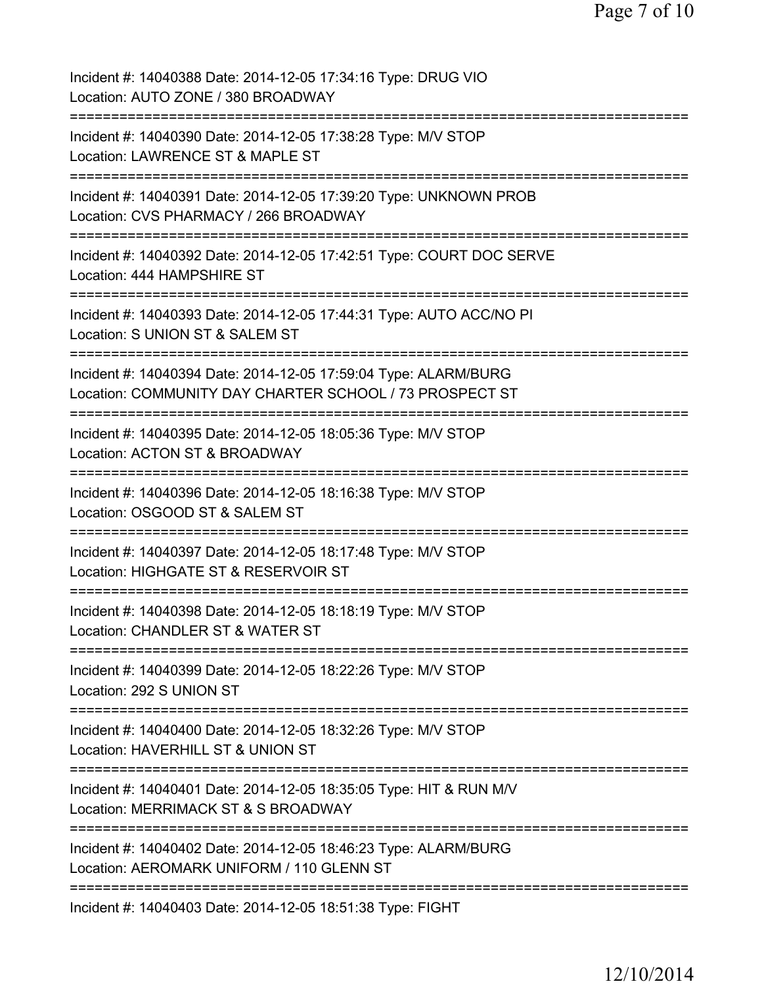| Incident #: 14040388 Date: 2014-12-05 17:34:16 Type: DRUG VIO<br>Location: AUTO ZONE / 380 BROADWAY                        |
|----------------------------------------------------------------------------------------------------------------------------|
| Incident #: 14040390 Date: 2014-12-05 17:38:28 Type: M/V STOP<br>Location: LAWRENCE ST & MAPLE ST                          |
| Incident #: 14040391 Date: 2014-12-05 17:39:20 Type: UNKNOWN PROB<br>Location: CVS PHARMACY / 266 BROADWAY                 |
| Incident #: 14040392 Date: 2014-12-05 17:42:51 Type: COURT DOC SERVE<br>Location: 444 HAMPSHIRE ST                         |
| Incident #: 14040393 Date: 2014-12-05 17:44:31 Type: AUTO ACC/NO PI<br>Location: S UNION ST & SALEM ST                     |
| Incident #: 14040394 Date: 2014-12-05 17:59:04 Type: ALARM/BURG<br>Location: COMMUNITY DAY CHARTER SCHOOL / 73 PROSPECT ST |
| Incident #: 14040395 Date: 2014-12-05 18:05:36 Type: M/V STOP<br>Location: ACTON ST & BROADWAY                             |
| Incident #: 14040396 Date: 2014-12-05 18:16:38 Type: M/V STOP<br>Location: OSGOOD ST & SALEM ST                            |
| Incident #: 14040397 Date: 2014-12-05 18:17:48 Type: M/V STOP<br>Location: HIGHGATE ST & RESERVOIR ST                      |
| Incident #: 14040398 Date: 2014-12-05 18:18:19 Type: M/V STOP<br>Location: CHANDLER ST & WATER ST                          |
| Incident #: 14040399 Date: 2014-12-05 18:22:26 Type: M/V STOP<br>Location: 292 S UNION ST                                  |
| Incident #: 14040400 Date: 2014-12-05 18:32:26 Type: M/V STOP<br>Location: HAVERHILL ST & UNION ST                         |
| Incident #: 14040401 Date: 2014-12-05 18:35:05 Type: HIT & RUN M/V<br>Location: MERRIMACK ST & S BROADWAY                  |
| Incident #: 14040402 Date: 2014-12-05 18:46:23 Type: ALARM/BURG<br>Location: AEROMARK UNIFORM / 110 GLENN ST               |
| Incident #: 14040403 Date: 2014-12-05 18:51:38 Type: FIGHT                                                                 |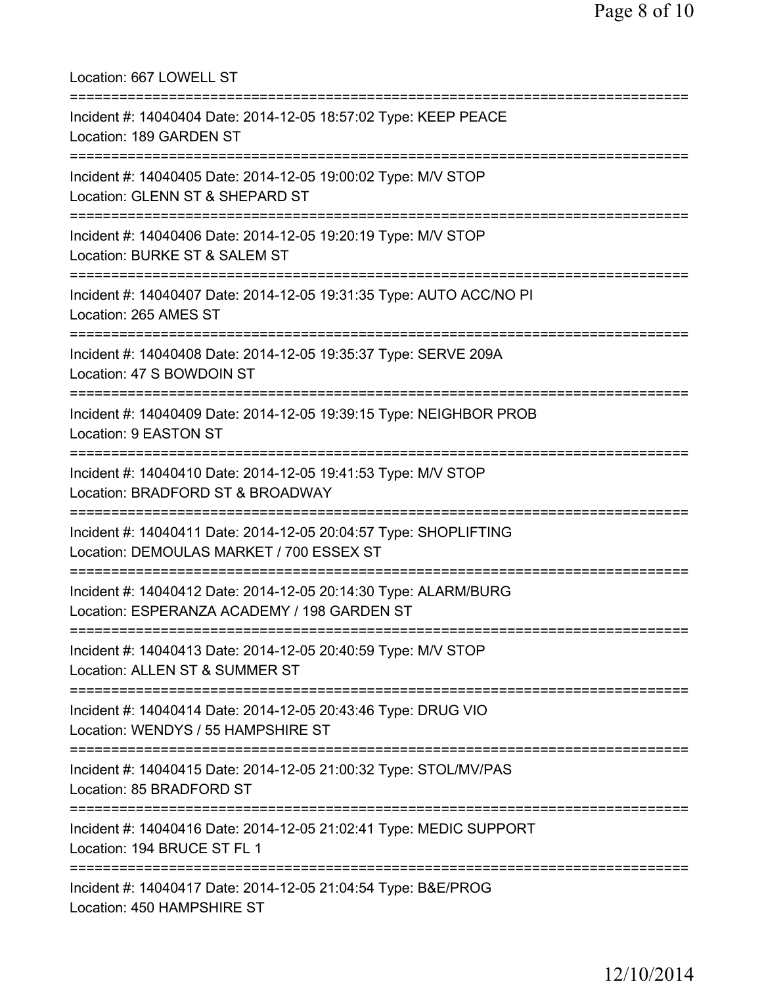| Location: 667 LOWELL ST                                                                                                                  |
|------------------------------------------------------------------------------------------------------------------------------------------|
| Incident #: 14040404 Date: 2014-12-05 18:57:02 Type: KEEP PEACE<br>Location: 189 GARDEN ST                                               |
| Incident #: 14040405 Date: 2014-12-05 19:00:02 Type: M/V STOP<br>Location: GLENN ST & SHEPARD ST<br>============================         |
| Incident #: 14040406 Date: 2014-12-05 19:20:19 Type: M/V STOP<br>Location: BURKE ST & SALEM ST                                           |
| Incident #: 14040407 Date: 2014-12-05 19:31:35 Type: AUTO ACC/NO PI<br>Location: 265 AMES ST                                             |
| Incident #: 14040408 Date: 2014-12-05 19:35:37 Type: SERVE 209A<br>Location: 47 S BOWDOIN ST                                             |
| Incident #: 14040409 Date: 2014-12-05 19:39:15 Type: NEIGHBOR PROB<br>Location: 9 EASTON ST                                              |
| Incident #: 14040410 Date: 2014-12-05 19:41:53 Type: M/V STOP<br>Location: BRADFORD ST & BROADWAY                                        |
| Incident #: 14040411 Date: 2014-12-05 20:04:57 Type: SHOPLIFTING<br>Location: DEMOULAS MARKET / 700 ESSEX ST                             |
| Incident #: 14040412 Date: 2014-12-05 20:14:30 Type: ALARM/BURG<br>Location: ESPERANZA ACADEMY / 198 GARDEN ST                           |
| Incident #: 14040413 Date: 2014-12-05 20:40:59 Type: M/V STOP<br>Location: ALLEN ST & SUMMER ST<br>================================      |
| Incident #: 14040414 Date: 2014-12-05 20:43:46 Type: DRUG VIO<br>Location: WENDYS / 55 HAMPSHIRE ST                                      |
| Incident #: 14040415 Date: 2014-12-05 21:00:32 Type: STOL/MV/PAS<br>Location: 85 BRADFORD ST                                             |
| ===================================<br>Incident #: 14040416 Date: 2014-12-05 21:02:41 Type: MEDIC SUPPORT<br>Location: 194 BRUCE ST FL 1 |
| Incident #: 14040417 Date: 2014-12-05 21:04:54 Type: B&E/PROG<br>Location: 450 HAMPSHIRE ST                                              |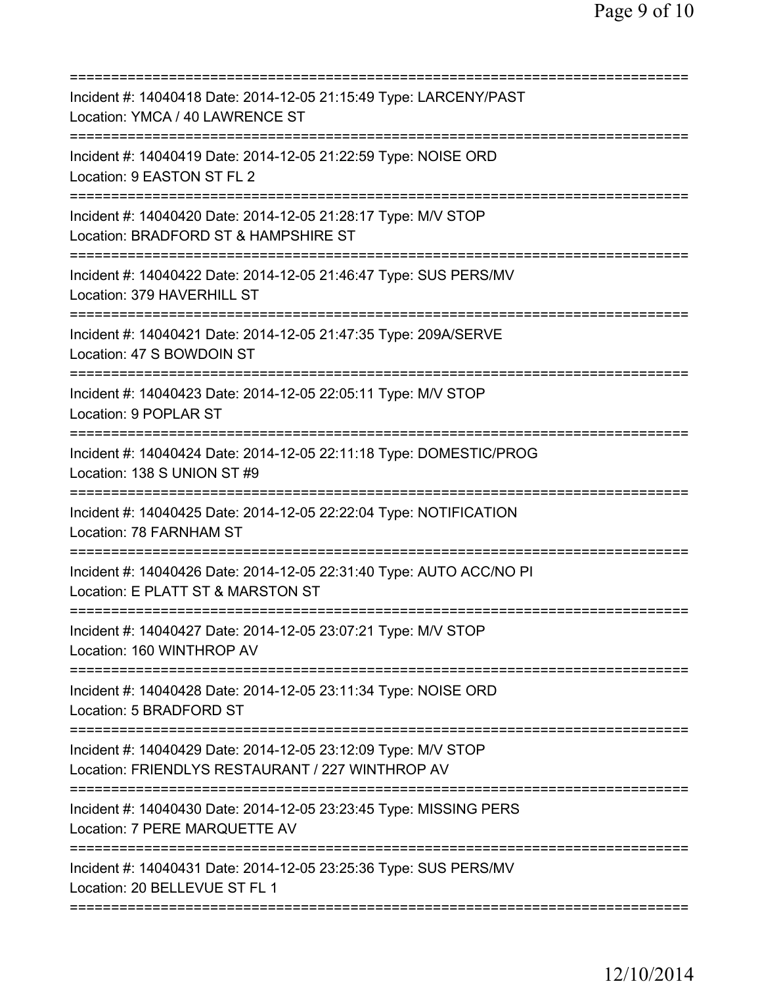| Incident #: 14040418 Date: 2014-12-05 21:15:49 Type: LARCENY/PAST<br>Location: YMCA / 40 LAWRENCE ST                             |
|----------------------------------------------------------------------------------------------------------------------------------|
| Incident #: 14040419 Date: 2014-12-05 21:22:59 Type: NOISE ORD<br>Location: 9 EASTON ST FL 2                                     |
| Incident #: 14040420 Date: 2014-12-05 21:28:17 Type: M/V STOP<br>Location: BRADFORD ST & HAMPSHIRE ST                            |
| Incident #: 14040422 Date: 2014-12-05 21:46:47 Type: SUS PERS/MV<br>Location: 379 HAVERHILL ST                                   |
| Incident #: 14040421 Date: 2014-12-05 21:47:35 Type: 209A/SERVE<br>Location: 47 S BOWDOIN ST                                     |
| Incident #: 14040423 Date: 2014-12-05 22:05:11 Type: M/V STOP<br>Location: 9 POPLAR ST                                           |
| Incident #: 14040424 Date: 2014-12-05 22:11:18 Type: DOMESTIC/PROG<br>Location: 138 S UNION ST #9                                |
| Incident #: 14040425 Date: 2014-12-05 22:22:04 Type: NOTIFICATION<br>Location: 78 FARNHAM ST<br>-------------------------------- |
| Incident #: 14040426 Date: 2014-12-05 22:31:40 Type: AUTO ACC/NO PI<br>Location: E PLATT ST & MARSTON ST                         |
| Incident #: 14040427 Date: 2014-12-05 23:07:21 Type: M/V STOP<br>Location: 160 WINTHROP AV                                       |
| Incident #: 14040428 Date: 2014-12-05 23:11:34 Type: NOISE ORD<br>Location: 5 BRADFORD ST                                        |
| Incident #: 14040429 Date: 2014-12-05 23:12:09 Type: M/V STOP<br>Location: FRIENDLYS RESTAURANT / 227 WINTHROP AV                |
| Incident #: 14040430 Date: 2014-12-05 23:23:45 Type: MISSING PERS<br>Location: 7 PERE MARQUETTE AV                               |
| Incident #: 14040431 Date: 2014-12-05 23:25:36 Type: SUS PERS/MV<br>Location: 20 BELLEVUE ST FL 1                                |
|                                                                                                                                  |